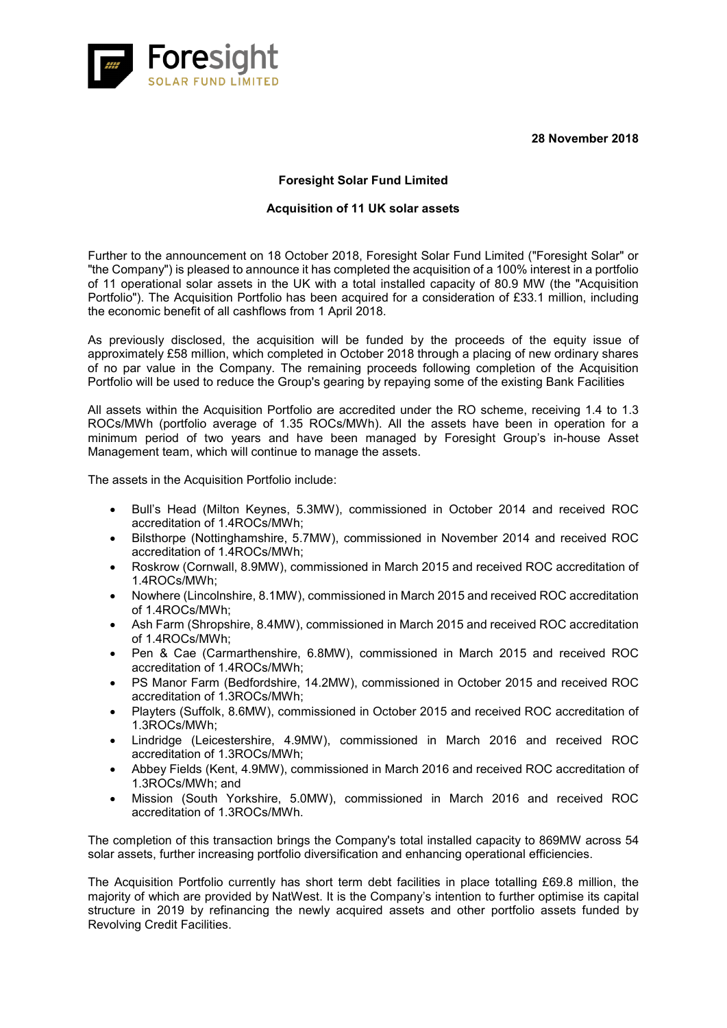**28 November 2018**



## **Foresight Solar Fund Limited**

## **Acquisition of 11 UK solar assets**

Further to the announcement on 18 October 2018, Foresight Solar Fund Limited ("Foresight Solar" or "the Company") is pleased to announce it has completed the acquisition of a 100% interest in a portfolio of 11 operational solar assets in the UK with a total installed capacity of 80.9 MW (the "Acquisition Portfolio"). The Acquisition Portfolio has been acquired for a consideration of £33.1 million, including the economic benefit of all cashflows from 1 April 2018.

As previously disclosed, the acquisition will be funded by the proceeds of the equity issue of approximately £58 million, which completed in October 2018 through a placing of new ordinary shares of no par value in the Company. The remaining proceeds following completion of the Acquisition Portfolio will be used to reduce the Group's gearing by repaying some of the existing Bank Facilities

All assets within the Acquisition Portfolio are accredited under the RO scheme, receiving 1.4 to 1.3 ROCs/MWh (portfolio average of 1.35 ROCs/MWh). All the assets have been in operation for a minimum period of two vears and have been managed by Foresight Group's in-house Asset Management team, which will continue to manage the assets.

The assets in the Acquisition Portfolio include:

- Bull's Head (Milton Keynes, 5.3MW), commissioned in October 2014 and received ROC accreditation of 1.4ROCs/MWh;
- Bilsthorpe (Nottinghamshire, 5.7MW), commissioned in November 2014 and received ROC accreditation of 1.4ROCs/MWh;
- Roskrow (Cornwall, 8.9MW), commissioned in March 2015 and received ROC accreditation of 1.4ROCs/MWh;
- Nowhere (Lincolnshire, 8.1MW), commissioned in March 2015 and received ROC accreditation of 1.4ROCs/MWh;
- Ash Farm (Shropshire, 8.4MW), commissioned in March 2015 and received ROC accreditation of 1.4ROCs/MWh;
- Pen & Cae (Carmarthenshire, 6.8MW), commissioned in March 2015 and received ROC accreditation of 1.4ROCs/MWh;
- PS Manor Farm (Bedfordshire, 14.2MW), commissioned in October 2015 and received ROC accreditation of 1.3ROCs/MWh;
- Playters (Suffolk, 8.6MW), commissioned in October 2015 and received ROC accreditation of 1.3ROCs/MWh;
- Lindridge (Leicestershire, 4.9MW), commissioned in March 2016 and received ROC accreditation of 1.3ROCs/MWh;
- Abbey Fields (Kent, 4.9MW), commissioned in March 2016 and received ROC accreditation of 1.3ROCs/MWh; and
- Mission (South Yorkshire, 5.0MW), commissioned in March 2016 and received ROC accreditation of 1.3ROCs/MWh.

The completion of this transaction brings the Company's total installed capacity to 869MW across 54 solar assets, further increasing portfolio diversification and enhancing operational efficiencies.

The Acquisition Portfolio currently has short term debt facilities in place totalling £69.8 million, the majority of which are provided by NatWest. It is the Company's intention to further optimise its capital structure in 2019 by refinancing the newly acquired assets and other portfolio assets funded by Revolving Credit Facilities.